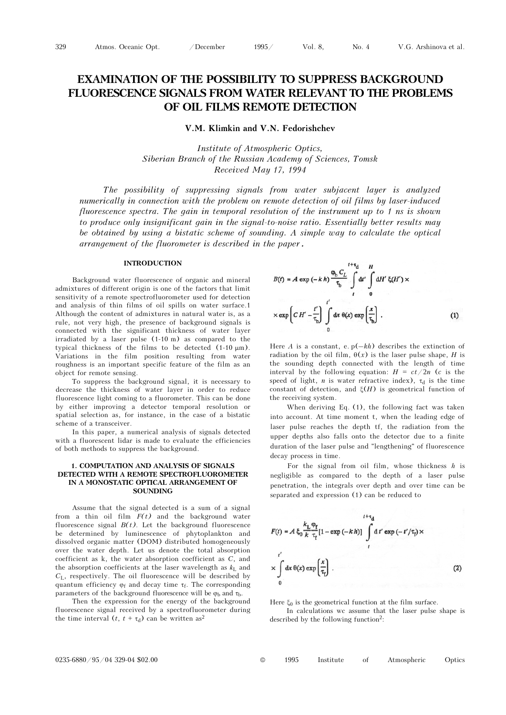# EXAMINATION OF THE POSSIBILITY TO SUPPRESS BACKGROUND FLUORESCENCE SIGNALS FROM WATER RELEVANT TO THE PROBLEMS OF OIL FILMS REMOTE DETECTION

## V.M. Klimkin and V.N. Fedorishchev

Institute of Atmospheric Optics, Siberian Branch of the Russian Academy of Sciences, Tomsk Received May 17, 1994

The possibility of suppressing signals from water subjacent layer is analyzed numerically in connection with the problem on remote detection of oil films by laser-induced fluorescence spectra. The gain in temporal resolution of the instrument up to 1 ns is shown to produce only insignificant gain in the signal-to-noise ratio. Essentially better results may be obtained by using a bistatic scheme of sounding. A simple way to calculate the optical arrangement of the fluorometer is described in the paper.

#### INTRODUCTION

Background water fluorescence of organic and mineral admixtures of different origin is one of the factors that limit sensitivity of a remote spectrofluorometer used for detection and analysis of thin films of oil spills on water surface.1 Although the content of admixtures in natural water is, as a rule, not very high, the presence of background signals is connected with the significant thickness of water layer irradiated by a laser pulse (1-10 m) as compared to the typical thickness of the films to be detected (1-10 μm). Variations in the film position resulting from water roughness is an important specific feature of the film as an object for remote sensing.

To suppress the background signal, it is necessary to decrease the thickness of water layer in order to reduce fluorescence light coming to a fluorometer. This can be done by either improving a detector temporal resolution or spatial selection as, for instance, in the case of a bistatic scheme of a transceiver.

In this paper, a numerical analysis of signals detected with a fluorescent lidar is made to evaluate the efficiencies of both methods to suppress the background.

### 1. COMPUTATION AND ANALYSIS OF SIGNALS DETECTED WITH A REMOTE SPECTROFLUOROMETER IN A MONOSTATIC OPTICAL ARRANGEMENT OF SOUNDING

Assume that the signal detected is a sum of a signal from a thin oil film  $F(t)$  and the background water fluorescence signal  $B(t)$ . Let the background fluorescence be determined by luminescence of phytoplankton and dissolved organic matter (DOM) distributed homogeneously over the water depth. Let us denote the total absorption coefficient as k, the water absorption coefficient as C, and the absorption coefficients at the laser wavelength as  $k<sub>L</sub>$  and  $C_L$ , respectively. The oil fluorescence will be described by quantum efficiency  $\varphi_f$  and decay time  $\tau_f$ . The corresponding parameters of the background fluorescence will be  $\varphi_b$  and  $\tau_b$ .

Then the expression for the energy of the background fluorescence signal received by a spectrofluorometer during the time interval  $(t, t + \tau_d)$  can be written as<sup>2</sup>

$$
B(t) = A \exp(-kh) \frac{\varphi_b C_L}{\tau_b} \int_{t}^{t+\tau_d} dt' \int_{0}^{H} dt' \xi(H') \times
$$
  
 
$$
\times \exp\left[ C H' - \frac{t'}{\tau_b} \right] \int_{0}^{t'} dx \ \theta(x) \exp\left(\frac{x}{\tau_b}\right).
$$
 (1)  
Here A is a constant, e. p(-kh) describes the extinction of

radiation by the oil film,  $\theta(x)$  is the laser pulse shape, H is the sounding depth connected with the length of time interval by the following equation:  $H = ct/2n$  (c is the speed of light, *n* is water refractive index),  $\tau_d$  is the time constant of detection, and  $\xi(H)$  is geometrical function of the receiving system.

When deriving Eq. (1), the following fact was taken into account. At time moment t, when the leading edge of laser pulse reaches the depth tf, the radiation from the upper depths also falls onto the detector due to a finite duration of the laser pulse and "lengthening" of fluorescence decay process in time.

For the signal from oil film, whose thickness  $h$  is negligible as compared to the depth of a laser pulse penetration, the integrals over depth and over time can be separated and expression (1) can be reduced to



Here  $\xi_0$  is the geometrical function at the film surface.

In calculations wc assume that the laser pulse shape is described by the following function<sup>2</sup>:

0235-6880/95/04 329-04 \$02.00 © 1995 Institute of Atmospheric Optics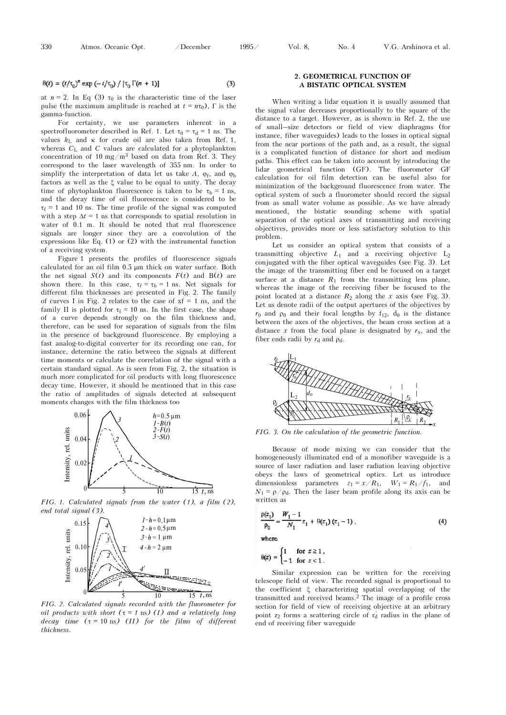$$
\theta(t) = (t/\tau_0)^n \exp\left(-t/\tau_0\right) / \left[\tau_0 \Gamma(n+1)\right]
$$
\n(3)

at  $n = 2$ . In Eq (3)  $\tau_0$  is the characteristic time of the laser pulse (the maximum amplitude is reached at  $t = n\tau_0$ ),  $\Gamma$  is the gamma-function.

For certainty, we use parameters inherent in a spectrofluorometer described in Ref. 1. Let  $\tau_0 = \tau_d = 1$  ns. The values  $k_L$  and  $\kappa$  for crude oil are also taken from Ref. 1, whereas  $C_{\text{L}}$  and C values are calculated for a phytoplankton concentration of 10 mg/m<sup>3</sup> based on data from Ref. 3. They correspond to the laser wavelength of 355 nm. In order to simplify the interpretation of data let us take  $A$ ,  $\varphi_f$ , and  $\varphi_b$ factors as well as the ξ value to be equal to unity. The decay time of phytoplankton fluorescence is taken to be  $\tau_b = 1$  ns, and the decay time of oil fluorescence is considered to be  $\tau_f$  = 1 and 10 ns. The time profile of the signal was computed with a step  $\Delta t = 1$  ns that corresponds to spatial resolution in water of 0.1 m. It should be noted that real fluorescence signals are longer since they are a convolution of the expressions like Eq. (1) or (2) with the instrumental function of a receiving system.

Figure 1 presents the profiles of fluorescence signals calculated for an oil film 0.5 μm thick on water surface. Both the net signal  $S(t)$  and its components  $F(t)$  and  $B(t)$  are shown there. In this case,  $\tau_f = \tau_b = 1$  ns. Net signals for different film thicknesses are presented in Fig. 2. The family of curves I in Fig. 2 relates to the case of  $xf = 1$  ns, and the family II is plotted for  $\tau_f = 10$  ns. In the first case, the shape of a curve depends strongly on the film thickness and, therefore, can be used for separation of signals from the film in the presence of background fluorescence. By employing a fast analog-to-digital converter for its recording one can, for instance, determine the ratio between the signals at different time moments or calculate the correlation of the signal with a certain standard signal. As is seen from Fig. 2, the situation is much more complicated for oil products with long fluorescence decay time. However, it should be mentioned that in this case the ratio of amplitudes of signals detected at subsequent moments changes with the film thickness too



FIG. 1. Calculated signals from the water (1), a film (2), end total signal (3).



FIG. 2. Calculated signals recorded with the fluorometer for oil products with short  $(\tau = 1 \text{ ns})$  (I) and a relatively long decay time  $(\tau = 10 \text{ ns})$  (II) for the films of different thickness

## 2. GEOMETRICAL FUNCTION OF A BISTATIC OPTICAL SYSTEM

When writing a lidar equation it is usually assumed that the signal value decreases proportionally to the square of the distance to a target. However, as is shown in Ref. 2, the use of small–size detectors or field of view diaphragms (for instance, fiber waveguides) leads to the losses in optical signal from the near portions of the path and, as a result, the signal is a complicated function of distance for short and medium paths. This effect can be taken into account by introducing the lidar geometrical function (GF). The fluorometer GF calculation for oil film detection can be useful also for minimization of the background fluorescence from water. The optical system of such a fluorometer should record the signal from as small water volume as possible. As we have already mentioned, the bistatic sounding scheme with spatial separation of the optical axes of transmitting and receiving objectives, provides more or less satisfactory solution to this problem.

Let us consider an optical system that consists of a transmitting objective  $L_1$  and a receiving objective  $L_2$ conjugated with the fiber optical waveguides (see Fig. 3). Let the image of the transmitting fiber end be focused on a target surface at a distance  $R_1$  from the transmitting lens plane, whereas the image of the receiving fiber be focused to the point located at a distance  $R_2$  along the x axis (see Fig. 3). Let us denote radii of the output apertures of the objectives by  $r_0$  and  $\rho_0$  and their focal lengths by  $f_{12}$ ,  $d_0$  is the distance between the axes of the objectives, the beam cross section at a distance x from the focal plane is designated by  $r<sub>x</sub>$ , and the fiber ends radii by  $r_d$  and  $\rho_d$ .



FIG. 3. On the calculation of the geometric function.

Because of mode mixing we can consider that the homogeneously illuminated end of a monofiber waveguide is a source of laser radiation and laser radiation leaving objective obeys the laws of geometrical optics. Let us introduce dimensionless parameters  $z_1 = x/R_1$ ,  $W_1 = R_1/f_1$ , and  $N_1 = \rho/\rho_d$ . Then the laser beam profile along its axis can be written as

$$
\frac{\rho(z_1)}{\rho_0} = \frac{W_1 - 1}{N_1} z_1 + \theta(z_1) (z_1 - 1), \tag{4}
$$

where

$$
\theta(z) = \begin{cases} 1 & \text{for } z \ge 1 \,, \\ -1 & \text{for } z < 1 \,. \end{cases}
$$

Similar expression can be written for the receiving telescope field of view. The recorded signal is proportional to the coefficient ξ characterizing spatial overlapping of the transmitted and received beams.2 The image of a profile cross section for field of view of receiving objective at an arbitrary section for field of view of receiving objective at an arbitrary point  $z_2$  forms a scattering circle of  $r_d$  radius in the plane of end of receiving fiber waveguide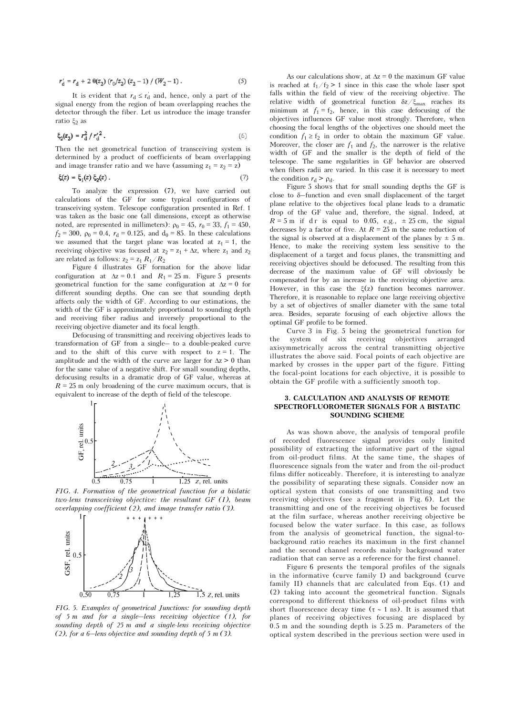$$
r'_{d} = r_{d} + 2 \theta(z_{2}) (r_{0}/z_{2}) (z_{2} - 1) / (W_{2} - 1).
$$
 (5)

It is evident that  $r_d \le r_d'$  and, hence, only a part of the signal energy from the region of beam overlapping reaches the detector through the fiber. Let us introduce the image transfer ratio ξ2 as

$$
\xi_2(z_2) = r_d^2 / r_d'^2. \tag{6}
$$

Then the net geometrical function of transceiving system is determined by a product of coefficients of beam overlapping and image transfer ratio and we have (assuming  $z_1 = z_2 = z$ )

$$
\xi(z) = \xi_1(z) \, \xi_2(z) \,. \tag{7}
$$

To analyze the expression (7), we have carried out calculations of the GF for some typical configurations of transceiving system. Telescope configuration presented in Ref. 1 was taken as the basic one (all dimensions, except as otherwise noted, are represented in millimeters):  $\rho_0 = 45$ ,  $r_0 = 33$ ,  $f_1 = 450$ ,  $f_2 = 300$ ,  $\rho_0 = 0.4$ ,  $r_d = 0.125$ , and  $d_0 = 85$ . In these calculations we assumed that the target plane was located at  $z_1 = 1$ , the receiving objective was focused at  $z_2 = z_1 + \Delta z$ , where  $z_1$  and  $z_2$ are related as follows:  $z_2 = z_1 R_1/R_2$ 

Figure 4 illustrates GF formation for the above lidar configuration at  $\Delta z = 0.1$  and  $R_1 = 25$  m. Figure 5 presents geometrical function for the same configuration at  $\Delta z = 0$  for different sounding depths. One can see that sounding depth affects only the width of GF. According to our estimations, the width of the GF is approximately proportional to sounding depth and receiving fiber radius and inversely proportional to the receiving objective diameter and its focal length. width of the GF is approximately proportional to sounding depth<br>and receiving fiber radius and inversely proportional to the<br>receiving objective diameter and its focal length.<br>Defocusing of transmitting and receiving objec

Defocusing of transmitting and receiving objectives leads to and to the shift of this curve with respect to  $z = 1$ . The amplitude and the width of the curve are larger for  $\Delta z > 0$  than for the same value of a negative shift. For small sounding depths, defocusing results in a dramatic drop of GF value, whereas at  $R = 25$  m only broadening of the curve maximum occurs, that is equivalent to increase of the depth of field of the telescope.



FIG. 4. Formation of the geometrical function for a bislatic two-lens transceiving objective: the resultant GF (I), beam overlapping coefficient (2), and image transfer ratio (3).



FIG. 5. Examples of geometrical Junctions: for sounding depth sounding depth of 25 m and a single-lens receiving objective ( $\overline{0.50}$  0.75 1 1.25 1.5 z, rel. un<br>FIG. 5. Examples of geometrical Junctions: for sounding<br>of 5 m and for a single-lens receiving objective (1<br>sounding depth of 25 m and a single-lens receiving obj<br>(2), for a 6-lens

As our calculations show, at  $\Delta z = 0$  the maximum GF value is reached at  $f_1/f_2 > 1$  since in this case the whole laser spot falls within the field of view of the receiving objective. The relative width of geometrical function  $\delta z/\xi_{\text{max}}$  reaches its minimum at  $f_1 = f_2$ , hence, in this case defocusing of the objectives influences GF value most strongly. Therefore, when choosing the focal lengths of the objectives one should meet the condition  $f_1 \geq f_2$  in order to obtain the maximum GF value. Moreover, the closer are  $f_1$  and  $f_2$ , the narrower is the relative width of GF and the smaller is the depth of field of the telescope. The same regularities in GF behavior are observed when fibers radii are varied. In this case it is necessary to meet the condition  $r_d > \rho_d$ .<br>Figure 5 shows that for small sounding depths the GF is close to δ–f when fibers radii are varied. In this case it is necessary to meet the condition  $r_d > \rho_d$ .

Figure 5 shows that for small sounding depths the GF is plane relative to the objectives focal plane leads to a dramatic drop of the GF value and, therefore, the signal. Indeed, at  $R = 5$  m if d r is equal to 0.05, e.g.,  $\pm 25$  cm, the signal decreases by a factor of five. At  $R = 25$  m the same reduction of the signal is observed at a displacement of the planes by  $\pm$  5 m. Hence, to make the receiving system less sensitive to the displacement of a target and focus planes, the transmitting and receiving objectives should be defocused. The resulting from this decrease of the maximum value of GF will obviously be compensated for by an increase in the receiving objective area. However, in this case the  $\xi(z)$  function becomes narrower. Therefore, it is reasonable to replace one large receiving objective by a set of objectives of smaller diameter with the same total area. Besides, separate focusing of each objective allows the optimal GF profile to be formed.

Curve 3 in Fig. 5 being the geometrical function for the system of six receiving objectives arranged axisymmetrically across the central transmitting objective illustrates the above said. Focal points of each objective are marked by crosses in the upper part of the figure. Fitting the focal-point locations for each objective, it is possible to obtain the GF profile with a sufficiently smooth top.

#### 3. CALCULATION AND ANALYSIS OF REMOTE SPECTROFLUOROMETER SIGNALS FOR A BISTATIC SOUNDING SCHEME

As was shown above, the analysis of temporal profile of recorded fluorescence signal provides only limited possibility of extracting the informative part of the signal from oil-product films. At the same time, the shapes of fluorescence signals from the water and from the oil-product films differ noticeably. Therefore, it is interesting to analyze the possibility of separating these signals. Consider now an optical system that consists of one transmitting and two receiving objectives (see a fragment in Fig. 6). Let the transmitting and one of the receiving objectives be focused at the film surface, whereas another receiving objective be focused below the water surface. In this case, as follows from the analysis of geometrical function, the signal-tobackground ratio reaches its maximum in the first channel and the second channel records mainly background water radiation that can serve as a reference for the first channel.

Figure 6 presents the temporal profiles of the signals in the informative (curve family I) and background (curve family II) channels that arc calculated from Eqs. (1) and (2) taking into account the geometrical function. Signals correspond to different thickness of oil-product films with short fluorescence decay time ( $\tau \sim 1$  ns). It is assumed that planes of receiving objectives focusing are displaced by 0.5 m and the sounding depth is 5.25 m. Parameters of the optical system described in the previous section were used in